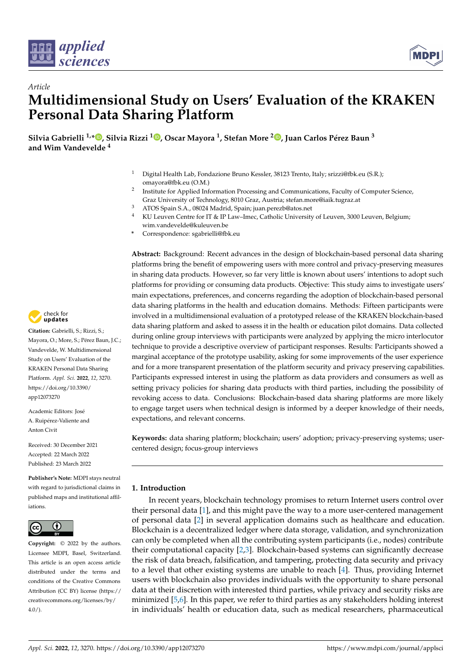



# *Article* **Multidimensional Study on Users' Evaluation of the KRAKEN Personal Data Sharing Platform**

**Silvia Gabrielli 1,\* [,](https://orcid.org/0000-0002-7080-0615) Silvia Rizzi <sup>1</sup> [,](https://orcid.org/0000-0002-8610-2432) Oscar Mayora <sup>1</sup> , Stefan More <sup>2</sup> [,](https://orcid.org/0000-0001-7076-7563) Juan Carlos Pérez Baun <sup>3</sup> and Wim Vandevelde <sup>4</sup>**

- <sup>1</sup> Digital Health Lab, Fondazione Bruno Kessler, 38123 Trento, Italy; srizzi@fbk.eu (S.R.); omayora@fbk.eu (O.M.)
- 2 Institute for Applied Information Processing and Communications, Faculty of Computer Science, Graz University of Technology, 8010 Graz, Austria; stefan.more@iaik.tugraz.at
- <sup>3</sup> ATOS Spain S.A., 08024 Madrid, Spain; juan.perezb@atos.net
- KU Leuven Centre for IT & IP Law–Imec, Catholic University of Leuven, 3000 Leuven, Belgium; wim.vandevelde@kuleuven.be
- **\*** Correspondence: sgabrielli@fbk.eu

**Abstract:** Background: Recent advances in the design of blockchain-based personal data sharing platforms bring the benefit of empowering users with more control and privacy-preserving measures in sharing data products. However, so far very little is known about users' intentions to adopt such platforms for providing or consuming data products. Objective: This study aims to investigate users' main expectations, preferences, and concerns regarding the adoption of blockchain-based personal data sharing platforms in the health and education domains. Methods: Fifteen participants were involved in a multidimensional evaluation of a prototyped release of the KRAKEN blockchain-based data sharing platform and asked to assess it in the health or education pilot domains. Data collected during online group interviews with participants were analyzed by applying the micro interlocutor technique to provide a descriptive overview of participant responses. Results: Participants showed a marginal acceptance of the prototype usability, asking for some improvements of the user experience and for a more transparent presentation of the platform security and privacy preserving capabilities. Participants expressed interest in using the platform as data providers and consumers as well as setting privacy policies for sharing data products with third parties, including the possibility of revoking access to data. Conclusions: Blockchain-based data sharing platforms are more likely to engage target users when technical design is informed by a deeper knowledge of their needs, expectations, and relevant concerns.

**Keywords:** data sharing platform; blockchain; users' adoption; privacy-preserving systems; usercentered design; focus-group interviews

# **1. Introduction**

In recent years, blockchain technology promises to return Internet users control over their personal data [\[1\]](#page-10-0), and this might pave the way to a more user-centered management of personal data [\[2\]](#page-10-1) in several application domains such as healthcare and education. Blockchain is a decentralized ledger where data storage, validation, and synchronization can only be completed when all the contributing system participants (i.e., nodes) contribute their computational capacity [\[2](#page-10-1)[,3\]](#page-10-2). Blockchain-based systems can significantly decrease the risk of data breach, falsification, and tampering, protecting data security and privacy to a level that other existing systems are unable to reach [\[4\]](#page-10-3). Thus, providing Internet users with blockchain also provides individuals with the opportunity to share personal data at their discretion with interested third parties, while privacy and security risks are minimized [\[5](#page-10-4)[,6\]](#page-10-5). In this paper, we refer to third parties as any stakeholders holding interest in individuals' health or education data, such as medical researchers, pharmaceutical



**Citation:** Gabrielli, S.; Rizzi, S.; Mayora, O.; More, S.; Pérez Baun, J.C.; Vandevelde, W. Multidimensional Study on Users' Evaluation of the KRAKEN Personal Data Sharing Platform. *Appl. Sci.* **2022**, *12*, 3270. [https://doi.org/10.3390/](https://doi.org/10.3390/app12073270) [app12073270](https://doi.org/10.3390/app12073270)

Academic Editors: José A. Ruipérez-Valiente and Anton Civit

Received: 30 December 2021 Accepted: 22 March 2022 Published: 23 March 2022

**Publisher's Note:** MDPI stays neutral with regard to jurisdictional claims in published maps and institutional affiliations.



**Copyright:** © 2022 by the authors. Licensee MDPI, Basel, Switzerland. This article is an open access article distributed under the terms and conditions of the Creative Commons Attribution (CC BY) license [\(https://](https://creativecommons.org/licenses/by/4.0/) [creativecommons.org/licenses/by/](https://creativecommons.org/licenses/by/4.0/)  $4.0/$ ).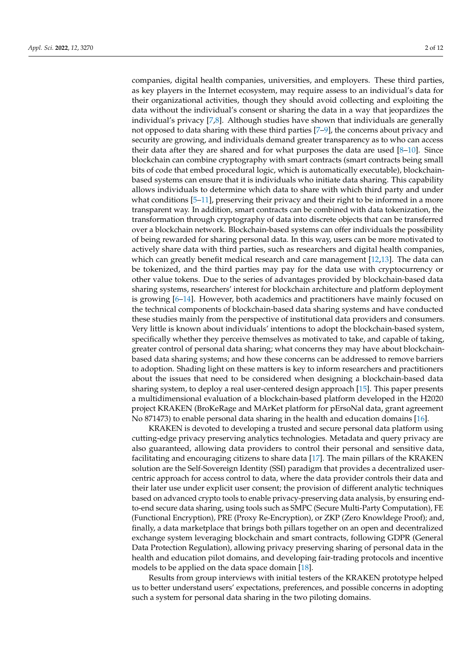companies, digital health companies, universities, and employers. These third parties, as key players in the Internet ecosystem, may require assess to an individual's data for their organizational activities, though they should avoid collecting and exploiting the data without the individual's consent or sharing the data in a way that jeopardizes the individual's privacy [\[7,](#page-10-6)[8\]](#page-10-7). Although studies have shown that individuals are generally not opposed to data sharing with these third parties [\[7–](#page-10-6)[9\]](#page-10-8), the concerns about privacy and security are growing, and individuals demand greater transparency as to who can access their data after they are shared and for what purposes the data are used  $[8-10]$  $[8-10]$ . Since blockchain can combine cryptography with smart contracts (smart contracts being small bits of code that embed procedural logic, which is automatically executable), blockchainbased systems can ensure that it is individuals who initiate data sharing. This capability allows individuals to determine which data to share with which third party and under what conditions  $[5-11]$  $[5-11]$ , preserving their privacy and their right to be informed in a more transparent way. In addition, smart contracts can be combined with data tokenization, the transformation through cryptography of data into discrete objects that can be transferred over a blockchain network. Blockchain-based systems can offer individuals the possibility of being rewarded for sharing personal data. In this way, users can be more motivated to actively share data with third parties, such as researchers and digital health companies, which can greatly benefit medical research and care management [\[12](#page-10-11)[,13\]](#page-10-12). The data can be tokenized, and the third parties may pay for the data use with cryptocurrency or other value tokens. Due to the series of advantages provided by blockchain-based data sharing systems, researchers' interest for blockchain architecture and platform deployment is growing [\[6–](#page-10-5)[14\]](#page-10-13). However, both academics and practitioners have mainly focused on the technical components of blockchain-based data sharing systems and have conducted these studies mainly from the perspective of institutional data providers and consumers. Very little is known about individuals' intentions to adopt the blockchain-based system, specifically whether they perceive themselves as motivated to take, and capable of taking, greater control of personal data sharing; what concerns they may have about blockchainbased data sharing systems; and how these concerns can be addressed to remove barriers to adoption. Shading light on these matters is key to inform researchers and practitioners about the issues that need to be considered when designing a blockchain-based data sharing system, to deploy a real user-centered design approach [\[15\]](#page-11-0). This paper presents a multidimensional evaluation of a blockchain-based platform developed in the H2020 project KRAKEN (BroKeRage and MArKet platform for pErsoNal data, grant agreement No 871473) to enable personal data sharing in the health and education domains [\[16\]](#page-11-1).

KRAKEN is devoted to developing a trusted and secure personal data platform using cutting-edge privacy preserving analytics technologies. Metadata and query privacy are also guaranteed, allowing data providers to control their personal and sensitive data, facilitating and encouraging citizens to share data [\[17\]](#page-11-2). The main pillars of the KRAKEN solution are the Self-Sovereign Identity (SSI) paradigm that provides a decentralized usercentric approach for access control to data, where the data provider controls their data and their later use under explicit user consent; the provision of different analytic techniques based on advanced crypto tools to enable privacy-preserving data analysis, by ensuring endto-end secure data sharing, using tools such as SMPC (Secure Multi-Party Computation), FE (Functional Encryption), PRE (Proxy Re-Encryption), or ZKP (Zero Knowldege Proof); and, finally, a data marketplace that brings both pillars together on an open and decentralized exchange system leveraging blockchain and smart contracts, following GDPR (General Data Protection Regulation), allowing privacy preserving sharing of personal data in the health and education pilot domains, and developing fair-trading protocols and incentive models to be applied on the data space domain [\[18\]](#page-11-3).

Results from group interviews with initial testers of the KRAKEN prototype helped us to better understand users' expectations, preferences, and possible concerns in adopting such a system for personal data sharing in the two piloting domains.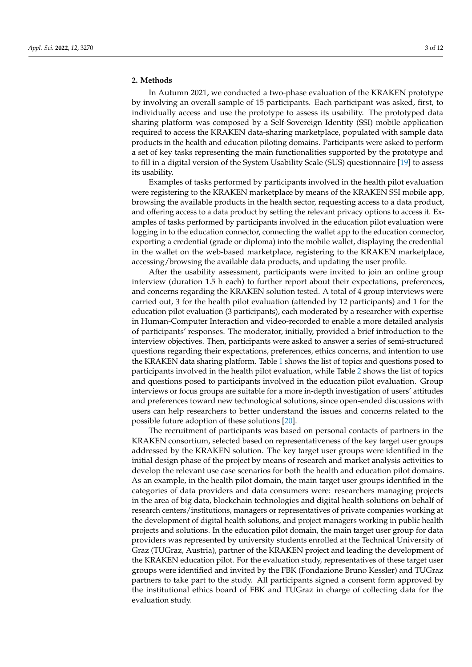# **2. Methods**

In Autumn 2021, we conducted a two-phase evaluation of the KRAKEN prototype by involving an overall sample of 15 participants. Each participant was asked, first, to individually access and use the prototype to assess its usability. The prototyped data sharing platform was composed by a Self-Sovereign Identity (SSI) mobile application required to access the KRAKEN data-sharing marketplace, populated with sample data products in the health and education piloting domains. Participants were asked to perform a set of key tasks representing the main functionalities supported by the prototype and to fill in a digital version of the System Usability Scale (SUS) questionnaire [\[19\]](#page-11-4) to assess its usability.

Examples of tasks performed by participants involved in the health pilot evaluation were registering to the KRAKEN marketplace by means of the KRAKEN SSI mobile app, browsing the available products in the health sector, requesting access to a data product, and offering access to a data product by setting the relevant privacy options to access it. Examples of tasks performed by participants involved in the education pilot evaluation were logging in to the education connector, connecting the wallet app to the education connector, exporting a credential (grade or diploma) into the mobile wallet, displaying the credential in the wallet on the web-based marketplace, registering to the KRAKEN marketplace, accessing/browsing the available data products, and updating the user profile.

After the usability assessment, participants were invited to join an online group interview (duration 1.5 h each) to further report about their expectations, preferences, and concerns regarding the KRAKEN solution tested. A total of 4 group interviews were carried out, 3 for the health pilot evaluation (attended by 12 participants) and 1 for the education pilot evaluation (3 participants), each moderated by a researcher with expertise in Human-Computer Interaction and video-recorded to enable a more detailed analysis of participants' responses. The moderator, initially, provided a brief introduction to the interview objectives. Then, participants were asked to answer a series of semi-structured questions regarding their expectations, preferences, ethics concerns, and intention to use the KRAKEN data sharing platform. Table [1](#page-3-0) shows the list of topics and questions posed to participants involved in the health pilot evaluation, while Table [2](#page-4-0) shows the list of topics and questions posed to participants involved in the education pilot evaluation. Group interviews or focus groups are suitable for a more in-depth investigation of users' attitudes and preferences toward new technological solutions, since open-ended discussions with users can help researchers to better understand the issues and concerns related to the possible future adoption of these solutions [\[20\]](#page-11-5).

The recruitment of participants was based on personal contacts of partners in the KRAKEN consortium, selected based on representativeness of the key target user groups addressed by the KRAKEN solution. The key target user groups were identified in the initial design phase of the project by means of research and market analysis activities to develop the relevant use case scenarios for both the health and education pilot domains. As an example, in the health pilot domain, the main target user groups identified in the categories of data providers and data consumers were: researchers managing projects in the area of big data, blockchain technologies and digital health solutions on behalf of research centers/institutions, managers or representatives of private companies working at the development of digital health solutions, and project managers working in public health projects and solutions. In the education pilot domain, the main target user group for data providers was represented by university students enrolled at the Technical University of Graz (TUGraz, Austria), partner of the KRAKEN project and leading the development of the KRAKEN education pilot. For the evaluation study, representatives of these target user groups were identified and invited by the FBK (Fondazione Bruno Kessler) and TUGraz partners to take part to the study. All participants signed a consent form approved by the institutional ethics board of FBK and TUGraz in charge of collecting data for the evaluation study.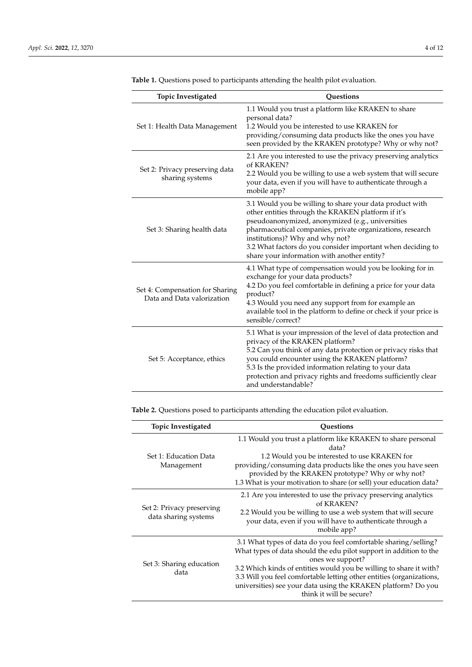| Topic Investigated                                            | <b>Ouestions</b>                                                                                                                                                                                                                                                                                                                                                                 |  |  |
|---------------------------------------------------------------|----------------------------------------------------------------------------------------------------------------------------------------------------------------------------------------------------------------------------------------------------------------------------------------------------------------------------------------------------------------------------------|--|--|
| Set 1: Health Data Management                                 | 1.1 Would you trust a platform like KRAKEN to share<br>personal data?<br>1.2 Would you be interested to use KRAKEN for<br>providing/consuming data products like the ones you have<br>seen provided by the KRAKEN prototype? Why or why not?                                                                                                                                     |  |  |
| Set 2: Privacy preserving data<br>sharing systems             | 2.1 Are you interested to use the privacy preserving analytics<br>of KRAKEN?<br>2.2 Would you be willing to use a web system that will secure<br>your data, even if you will have to authenticate through a<br>mobile app?                                                                                                                                                       |  |  |
| Set 3: Sharing health data                                    | 3.1 Would you be willing to share your data product with<br>other entities through the KRAKEN platform if it's<br>pseudoanonymized, anonymized (e.g., universities<br>pharmaceutical companies, private organizations, research<br>institutions)? Why and why not?<br>3.2 What factors do you consider important when deciding to<br>share your information with another entity? |  |  |
| Set 4: Compensation for Sharing<br>Data and Data valorization | 4.1 What type of compensation would you be looking for in<br>exchange for your data products?<br>4.2 Do you feel comfortable in defining a price for your data<br>product?<br>4.3 Would you need any support from for example an<br>available tool in the platform to define or check if your price is<br>sensible/correct?                                                      |  |  |
| Set 5: Acceptance, ethics                                     | 5.1 What is your impression of the level of data protection and<br>privacy of the KRAKEN platform?<br>5.2 Can you think of any data protection or privacy risks that<br>you could encounter using the KRAKEN platform?<br>5.3 Is the provided information relating to your data<br>protection and privacy rights and freedoms sufficiently clear<br>and understandable?          |  |  |

<span id="page-3-0"></span>**Table 1.** Questions posed to participants attending the health pilot evaluation.

**Table 2.** Questions posed to participants attending the education pilot evaluation.

| <b>Topic Investigated</b><br>Questions            |                                                                                                                                                                                                                                                                                                                                                                                                      |  |  |
|---------------------------------------------------|------------------------------------------------------------------------------------------------------------------------------------------------------------------------------------------------------------------------------------------------------------------------------------------------------------------------------------------------------------------------------------------------------|--|--|
| Set 1: Education Data<br>Management               | 1.1 Would you trust a platform like KRAKEN to share personal<br>data?<br>1.2 Would you be interested to use KRAKEN for<br>providing/consuming data products like the ones you have seen<br>provided by the KRAKEN prototype? Why or why not?<br>1.3 What is your motivation to share (or sell) your education data?                                                                                  |  |  |
| Set 2: Privacy preserving<br>data sharing systems | 2.1 Are you interested to use the privacy preserving analytics<br>of KRAKEN?<br>2.2 Would you be willing to use a web system that will secure<br>your data, even if you will have to authenticate through a<br>mobile app?                                                                                                                                                                           |  |  |
| Set 3: Sharing education<br>data                  | 3.1 What types of data do you feel comfortable sharing/selling?<br>What types of data should the edu pilot support in addition to the<br>ones we support?<br>3.2 Which kinds of entities would you be willing to share it with?<br>3.3 Will you feel comfortable letting other entities (organizations,<br>universities) see your data using the KRAKEN platform? Do you<br>think it will be secure? |  |  |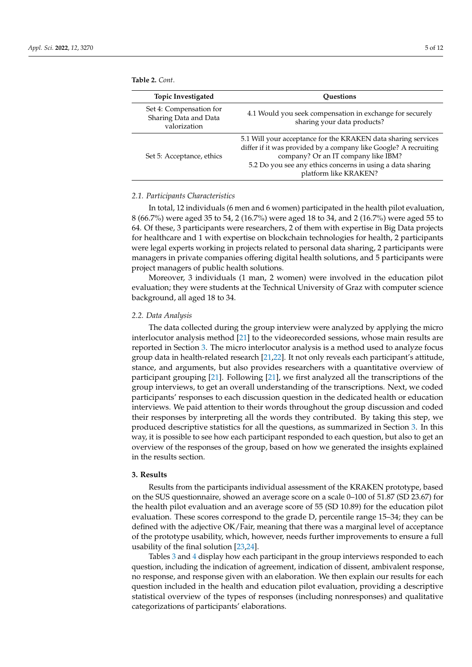<span id="page-4-0"></span>

| <b>Topic Investigated</b>                                        | <b>Ouestions</b>                                                                                                                                                                                                                                                |  |
|------------------------------------------------------------------|-----------------------------------------------------------------------------------------------------------------------------------------------------------------------------------------------------------------------------------------------------------------|--|
| Set 4: Compensation for<br>Sharing Data and Data<br>valorization | 4.1 Would you seek compensation in exchange for securely<br>sharing your data products?                                                                                                                                                                         |  |
| Set 5: Acceptance, ethics                                        | 5.1 Will your acceptance for the KRAKEN data sharing services<br>differ if it was provided by a company like Google? A recruiting<br>company? Or an IT company like IBM?<br>5.2 Do you see any ethics concerns in using a data sharing<br>platform like KRAKEN? |  |

#### *2.1. Participants Characteristics*

In total, 12 individuals (6 men and 6 women) participated in the health pilot evaluation, 8 (66.7%) were aged 35 to 54, 2 (16.7%) were aged 18 to 34, and 2 (16.7%) were aged 55 to 64. Of these, 3 participants were researchers, 2 of them with expertise in Big Data projects for healthcare and 1 with expertise on blockchain technologies for health, 2 participants were legal experts working in projects related to personal data sharing, 2 participants were managers in private companies offering digital health solutions, and 5 participants were project managers of public health solutions.

Moreover, 3 individuals (1 man, 2 women) were involved in the education pilot evaluation; they were students at the Technical University of Graz with computer science background, all aged 18 to 34.

# *2.2. Data Analysis*

The data collected during the group interview were analyzed by applying the micro interlocutor analysis method [\[21\]](#page-11-6) to the videorecorded sessions, whose main results are reported in Section [3.](#page-4-1) The micro interlocutor analysis is a method used to analyze focus group data in health-related research [\[21,](#page-11-6)[22\]](#page-11-7). It not only reveals each participant's attitude, stance, and arguments, but also provides researchers with a quantitative overview of participant grouping [\[21\]](#page-11-6). Following [\[21\]](#page-11-6), we first analyzed all the transcriptions of the group interviews, to get an overall understanding of the transcriptions. Next, we coded participants' responses to each discussion question in the dedicated health or education interviews. We paid attention to their words throughout the group discussion and coded their responses by interpreting all the words they contributed. By taking this step, we produced descriptive statistics for all the questions, as summarized in Section [3.](#page-4-1) In this way, it is possible to see how each participant responded to each question, but also to get an overview of the responses of the group, based on how we generated the insights explained in the results section.

#### <span id="page-4-1"></span>**3. Results**

Results from the participants individual assessment of the KRAKEN prototype, based on the SUS questionnaire, showed an average score on a scale 0–100 of 51.87 (SD 23.67) for the health pilot evaluation and an average score of 55 (SD 10.89) for the education pilot evaluation. These scores correspond to the grade D, percentile range 15–34; they can be defined with the adjective OK/Fair, meaning that there was a marginal level of acceptance of the prototype usability, which, however, needs further improvements to ensure a full usability of the final solution [\[23,](#page-11-8)[24\]](#page-11-9).

Tables [3](#page-5-0) and [4](#page-5-1) display how each participant in the group interviews responded to each question, including the indication of agreement, indication of dissent, ambivalent response, no response, and response given with an elaboration. We then explain our results for each question included in the health and education pilot evaluation, providing a descriptive statistical overview of the types of responses (including nonresponses) and qualitative categorizations of participants' elaborations.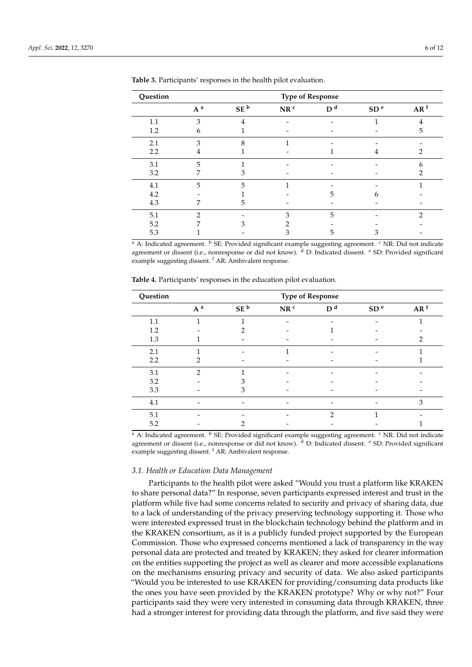| Question | <b>Type of Response</b> |                 |                 |                |                 |                 |
|----------|-------------------------|-----------------|-----------------|----------------|-----------------|-----------------|
|          | $A^a$                   | SE <sup>b</sup> | NR <sup>c</sup> | D <sup>d</sup> | SD <sup>e</sup> | AR <sup>f</sup> |
| 1.1      | 3                       | 4               |                 |                | 1               | 4               |
| 1.2      | h                       |                 |                 |                |                 | 5               |
| 2.1      | 3                       | 8               |                 |                |                 |                 |
| 2.2      | 4                       |                 |                 |                |                 |                 |
| 3.1      | 5                       |                 |                 |                |                 | 6               |
| 3.2      | 7                       | З               |                 |                |                 | 7               |
| 4.1      | 5                       | 5               |                 |                |                 |                 |
| 4.2      |                         |                 |                 |                | h               |                 |
| 4.3      |                         | 5               |                 |                |                 |                 |
| 5.1      | ∍                       |                 | 3               | 5              |                 | っ               |
| 5.2      |                         |                 |                 |                |                 |                 |
| 5.3      |                         |                 |                 |                |                 |                 |

<span id="page-5-0"></span>**Table 3.** Participants' responses in the health pilot evaluation.

<sup>a</sup> A: Indicated agreement. <sup>b</sup> SE: Provided significant example suggesting agreement. <sup>c</sup> NR: Did not indicate agreement or dissent (i.e., nonresponse or did not know). <sup>d</sup> D: Indicated dissent. <sup>e</sup> SD: Provided significant example suggesting dissent. <sup>f</sup> AR: Ambivalent response.

| Question | <b>Type of Response</b> |                 |                 |                |                 |                 |
|----------|-------------------------|-----------------|-----------------|----------------|-----------------|-----------------|
|          | $A^a$                   | SE <sup>b</sup> | NR <sup>c</sup> | D <sup>d</sup> | SD <sup>e</sup> | AR <sup>f</sup> |
| 1.1      |                         |                 |                 |                |                 |                 |
| 1.2      |                         |                 |                 |                |                 |                 |
| 1.3      |                         |                 |                 |                |                 | າ               |
| 2.1      |                         |                 |                 |                |                 |                 |
| 2.2      | っ                       |                 |                 |                |                 |                 |
| 3.1      | 2                       |                 |                 |                |                 |                 |
| 3.2      |                         |                 |                 |                |                 |                 |
| 3.3      |                         |                 |                 |                |                 |                 |
| 4.1      |                         |                 |                 |                |                 | 3               |
| 5.1      |                         |                 |                 | $\mathfrak{D}$ |                 |                 |
| 5.2      |                         |                 |                 |                |                 |                 |

<span id="page-5-1"></span>**Table 4.** Participants' responses in the education pilot evaluation.

<sup>a</sup> A: Indicated agreement. <sup>b</sup> SE: Provided significant example suggesting agreement. <sup>c</sup> NR: Did not indicate agreement or dissent (i.e., nonresponse or did not know). <sup>d</sup> D: Indicated dissent. <sup>e</sup> SD: Provided significant example suggesting dissent. <sup>f</sup> AR: Ambivalent response.

# *3.1. Health or Education Data Management*

Participants to the health pilot were asked "Would you trust a platform like KRAKEN to share personal data?" In response, seven participants expressed interest and trust in the platform while five had some concerns related to security and privacy of sharing data, due to a lack of understanding of the privacy preserving technology supporting it. Those who were interested expressed trust in the blockchain technology behind the platform and in the KRAKEN consortium, as it is a publicly funded project supported by the European Commission. Those who expressed concerns mentioned a lack of transparency in the way personal data are protected and treated by KRAKEN; they asked for clearer information on the entities supporting the project as well as clearer and more accessible explanations on the mechanisms ensuring privacy and security of data. We also asked participants "Would you be interested to use KRAKEN for providing/consuming data products like the ones you have seen provided by the KRAKEN prototype? Why or why not?" Four participants said they were very interested in consuming data through KRAKEN, three had a stronger interest for providing data through the platform, and five said they were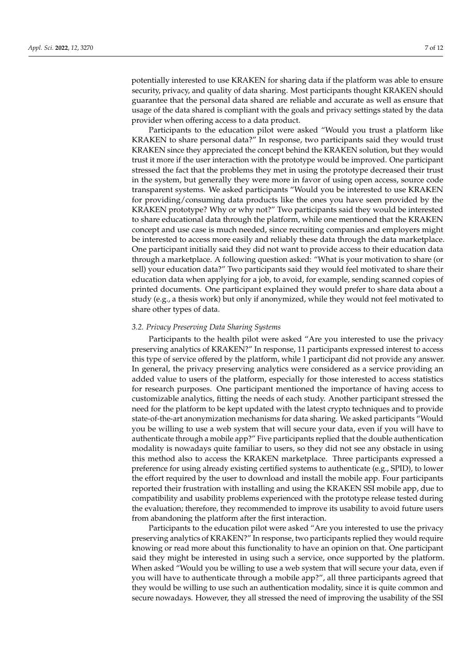potentially interested to use KRAKEN for sharing data if the platform was able to ensure security, privacy, and quality of data sharing. Most participants thought KRAKEN should guarantee that the personal data shared are reliable and accurate as well as ensure that usage of the data shared is compliant with the goals and privacy settings stated by the data provider when offering access to a data product.

Participants to the education pilot were asked "Would you trust a platform like KRAKEN to share personal data?" In response, two participants said they would trust KRAKEN since they appreciated the concept behind the KRAKEN solution, but they would trust it more if the user interaction with the prototype would be improved. One participant stressed the fact that the problems they met in using the prototype decreased their trust in the system, but generally they were more in favor of using open access, source code transparent systems. We asked participants "Would you be interested to use KRAKEN for providing/consuming data products like the ones you have seen provided by the KRAKEN prototype? Why or why not?" Two participants said they would be interested to share educational data through the platform, while one mentioned that the KRAKEN concept and use case is much needed, since recruiting companies and employers might be interested to access more easily and reliably these data through the data marketplace. One participant initially said they did not want to provide access to their education data through a marketplace. A following question asked: "What is your motivation to share (or sell) your education data?" Two participants said they would feel motivated to share their education data when applying for a job, to avoid, for example, sending scanned copies of printed documents. One participant explained they would prefer to share data about a study (e.g., a thesis work) but only if anonymized, while they would not feel motivated to share other types of data.

### *3.2. Privacy Preserving Data Sharing Systems*

Participants to the health pilot were asked "Are you interested to use the privacy preserving analytics of KRAKEN?" In response, 11 participants expressed interest to access this type of service offered by the platform, while 1 participant did not provide any answer. In general, the privacy preserving analytics were considered as a service providing an added value to users of the platform, especially for those interested to access statistics for research purposes. One participant mentioned the importance of having access to customizable analytics, fitting the needs of each study. Another participant stressed the need for the platform to be kept updated with the latest crypto techniques and to provide state-of-the-art anonymization mechanisms for data sharing. We asked participants "Would you be willing to use a web system that will secure your data, even if you will have to authenticate through a mobile app?" Five participants replied that the double authentication modality is nowadays quite familiar to users, so they did not see any obstacle in using this method also to access the KRAKEN marketplace. Three participants expressed a preference for using already existing certified systems to authenticate (e.g., SPID), to lower the effort required by the user to download and install the mobile app. Four participants reported their frustration with installing and using the KRAKEN SSI mobile app, due to compatibility and usability problems experienced with the prototype release tested during the evaluation; therefore, they recommended to improve its usability to avoid future users from abandoning the platform after the first interaction.

Participants to the education pilot were asked "Are you interested to use the privacy preserving analytics of KRAKEN?" In response, two participants replied they would require knowing or read more about this functionality to have an opinion on that. One participant said they might be interested in using such a service, once supported by the platform. When asked "Would you be willing to use a web system that will secure your data, even if you will have to authenticate through a mobile app?", all three participants agreed that they would be willing to use such an authentication modality, since it is quite common and secure nowadays. However, they all stressed the need of improving the usability of the SSI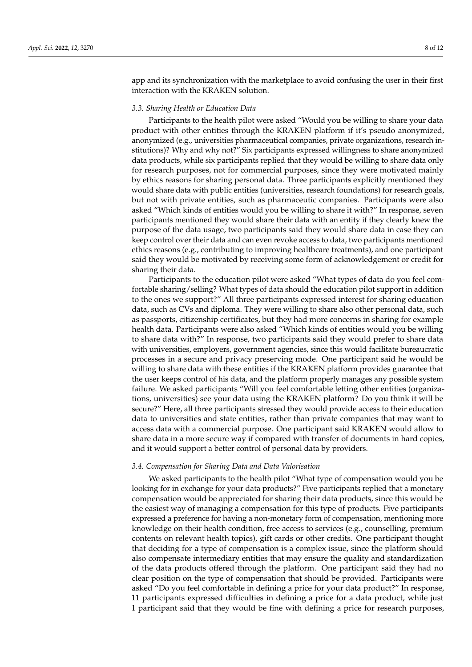app and its synchronization with the marketplace to avoid confusing the user in their first interaction with the KRAKEN solution.

#### *3.3. Sharing Health or Education Data*

Participants to the health pilot were asked "Would you be willing to share your data product with other entities through the KRAKEN platform if it's pseudo anonymized, anonymized (e.g., universities pharmaceutical companies, private organizations, research institutions)? Why and why not?" Six participants expressed willingness to share anonymized data products, while six participants replied that they would be willing to share data only for research purposes, not for commercial purposes, since they were motivated mainly by ethics reasons for sharing personal data. Three participants explicitly mentioned they would share data with public entities (universities, research foundations) for research goals, but not with private entities, such as pharmaceutic companies. Participants were also asked "Which kinds of entities would you be willing to share it with?" In response, seven participants mentioned they would share their data with an entity if they clearly knew the purpose of the data usage, two participants said they would share data in case they can keep control over their data and can even revoke access to data, two participants mentioned ethics reasons (e.g., contributing to improving healthcare treatments), and one participant said they would be motivated by receiving some form of acknowledgement or credit for sharing their data.

Participants to the education pilot were asked "What types of data do you feel comfortable sharing/selling? What types of data should the education pilot support in addition to the ones we support?" All three participants expressed interest for sharing education data, such as CVs and diploma. They were willing to share also other personal data, such as passports, citizenship certificates, but they had more concerns in sharing for example health data. Participants were also asked "Which kinds of entities would you be willing to share data with?" In response, two participants said they would prefer to share data with universities, employers, government agencies, since this would facilitate bureaucratic processes in a secure and privacy preserving mode. One participant said he would be willing to share data with these entities if the KRAKEN platform provides guarantee that the user keeps control of his data, and the platform properly manages any possible system failure. We asked participants "Will you feel comfortable letting other entities (organizations, universities) see your data using the KRAKEN platform? Do you think it will be secure?" Here, all three participants stressed they would provide access to their education data to universities and state entities, rather than private companies that may want to access data with a commercial purpose. One participant said KRAKEN would allow to share data in a more secure way if compared with transfer of documents in hard copies, and it would support a better control of personal data by providers.

#### *3.4. Compensation for Sharing Data and Data Valorisation*

We asked participants to the health pilot "What type of compensation would you be looking for in exchange for your data products?" Five participants replied that a monetary compensation would be appreciated for sharing their data products, since this would be the easiest way of managing a compensation for this type of products. Five participants expressed a preference for having a non-monetary form of compensation, mentioning more knowledge on their health condition, free access to services (e.g., counselling, premium contents on relevant health topics), gift cards or other credits. One participant thought that deciding for a type of compensation is a complex issue, since the platform should also compensate intermediary entities that may ensure the quality and standardization of the data products offered through the platform. One participant said they had no clear position on the type of compensation that should be provided. Participants were asked "Do you feel comfortable in defining a price for your data product?" In response, 11 participants expressed difficulties in defining a price for a data product, while just 1 participant said that they would be fine with defining a price for research purposes,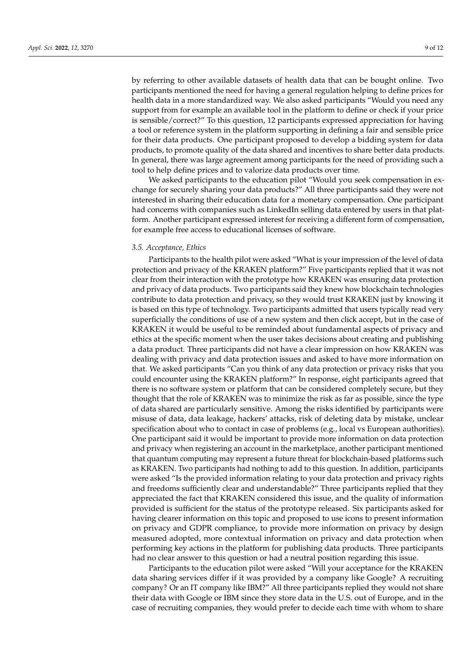by referring to other available datasets of health data that can be bought online. Two participants mentioned the need for having a general regulation helping to define prices for health data in a more standardized way. We also asked participants "Would you need any support from for example an available tool in the platform to define or check if your price is sensible/correct?" To this question, 12 participants expressed appreciation for having a tool or reference system in the platform supporting in defining a fair and sensible price for their data products. One participant proposed to develop a bidding system for data products, to promote quality of the data shared and incentives to share better data products. In general, there was large agreement among participants for the need of providing such a tool to help define prices and to valorize data products over time.

We asked participants to the education pilot "Would you seek compensation in exchange for securely sharing your data products?" All three participants said they were not interested in sharing their education data for a monetary compensation. One participant had concerns with companies such as LinkedIn selling data entered by users in that platform. Another participant expressed interest for receiving a different form of compensation, for example free access to educational licenses of software.

### *3.5. Acceptance, Ethics*

Participants to the health pilot were asked "What is your impression of the level of data protection and privacy of the KRAKEN platform?" Five participants replied that it was not clear from their interaction with the prototype how KRAKEN was ensuring data protection and privacy of data products. Two participants said they knew how blockchain technologies contribute to data protection and privacy, so they would trust KRAKEN just by knowing it is based on this type of technology. Two participants admitted that users typically read very superficially the conditions of use of a new system and then click accept, but in the case of KRAKEN it would be useful to be reminded about fundamental aspects of privacy and ethics at the specific moment when the user takes decisions about creating and publishing a data product. Three participants did not have a clear impression on how KRAKEN was dealing with privacy and data protection issues and asked to have more information on that. We asked participants "Can you think of any data protection or privacy risks that you could encounter using the KRAKEN platform?" In response, eight participants agreed that there is no software system or platform that can be considered completely secure, but they thought that the role of KRAKEN was to minimize the risk as far as possible, since the type of data shared are particularly sensitive. Among the risks identified by participants were misuse of data, data leakage, hackers' attacks, risk of deleting data by mistake, unclear specification about who to contact in case of problems (e.g., local vs European authorities). One participant said it would be important to provide more information on data protection and privacy when registering an account in the marketplace, another participant mentioned that quantum computing may represent a future threat for blockchain-based platforms such as KRAKEN. Two participants had nothing to add to this question. In addition, participants were asked "Is the provided information relating to your data protection and privacy rights and freedoms sufficiently clear and understandable?" Three participants replied that they appreciated the fact that KRAKEN considered this issue, and the quality of information provided is sufficient for the status of the prototype released. Six participants asked for having clearer information on this topic and proposed to use icons to present information on privacy and GDPR compliance, to provide more information on privacy by design measured adopted, more contextual information on privacy and data protection when performing key actions in the platform for publishing data products. Three participants had no clear answer to this question or had a neutral position regarding this issue.

Participants to the education pilot were asked "Will your acceptance for the KRAKEN data sharing services differ if it was provided by a company like Google? A recruiting company? Or an IT company like IBM?" All three participants replied they would not share their data with Google or IBM since they store data in the U.S. out of Europe, and in the case of recruiting companies, they would prefer to decide each time with whom to share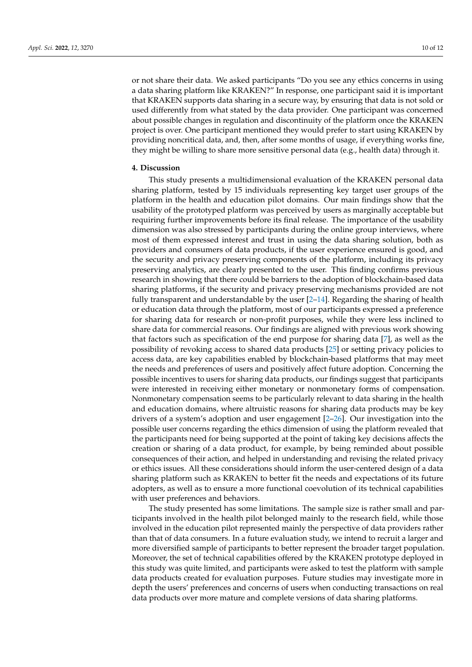or not share their data. We asked participants "Do you see any ethics concerns in using a data sharing platform like KRAKEN?" In response, one participant said it is important that KRAKEN supports data sharing in a secure way, by ensuring that data is not sold or used differently from what stated by the data provider. One participant was concerned about possible changes in regulation and discontinuity of the platform once the KRAKEN project is over. One participant mentioned they would prefer to start using KRAKEN by providing noncritical data, and, then, after some months of usage, if everything works fine, they might be willing to share more sensitive personal data (e.g., health data) through it.

### **4. Discussion**

This study presents a multidimensional evaluation of the KRAKEN personal data sharing platform, tested by 15 individuals representing key target user groups of the platform in the health and education pilot domains. Our main findings show that the usability of the prototyped platform was perceived by users as marginally acceptable but requiring further improvements before its final release. The importance of the usability dimension was also stressed by participants during the online group interviews, where most of them expressed interest and trust in using the data sharing solution, both as providers and consumers of data products, if the user experience ensured is good, and the security and privacy preserving components of the platform, including its privacy preserving analytics, are clearly presented to the user. This finding confirms previous research in showing that there could be barriers to the adoption of blockchain-based data sharing platforms, if the security and privacy preserving mechanisms provided are not fully transparent and understandable by the user [\[2](#page-10-1)[–14\]](#page-10-13). Regarding the sharing of health or education data through the platform, most of our participants expressed a preference for sharing data for research or non-profit purposes, while they were less inclined to share data for commercial reasons. Our findings are aligned with previous work showing that factors such as specification of the end purpose for sharing data [\[7\]](#page-10-6), as well as the possibility of revoking access to shared data products [\[25\]](#page-11-10) or setting privacy policies to access data, are key capabilities enabled by blockchain-based platforms that may meet the needs and preferences of users and positively affect future adoption. Concerning the possible incentives to users for sharing data products, our findings suggest that participants were interested in receiving either monetary or nonmonetary forms of compensation. Nonmonetary compensation seems to be particularly relevant to data sharing in the health and education domains, where altruistic reasons for sharing data products may be key drivers of a system's adoption and user engagement [\[2](#page-10-1)[–26\]](#page-11-11). Our investigation into the possible user concerns regarding the ethics dimension of using the platform revealed that the participants need for being supported at the point of taking key decisions affects the creation or sharing of a data product, for example, by being reminded about possible consequences of their action, and helped in understanding and revising the related privacy or ethics issues. All these considerations should inform the user-centered design of a data sharing platform such as KRAKEN to better fit the needs and expectations of its future adopters, as well as to ensure a more functional coevolution of its technical capabilities with user preferences and behaviors.

The study presented has some limitations. The sample size is rather small and participants involved in the health pilot belonged mainly to the research field, while those involved in the education pilot represented mainly the perspective of data providers rather than that of data consumers. In a future evaluation study, we intend to recruit a larger and more diversified sample of participants to better represent the broader target population. Moreover, the set of technical capabilities offered by the KRAKEN prototype deployed in this study was quite limited, and participants were asked to test the platform with sample data products created for evaluation purposes. Future studies may investigate more in depth the users' preferences and concerns of users when conducting transactions on real data products over more mature and complete versions of data sharing platforms.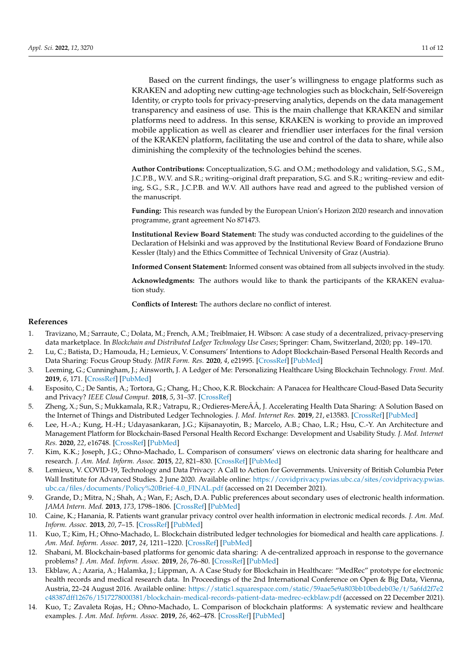Based on the current findings, the user's willingness to engage platforms such as KRAKEN and adopting new cutting-age technologies such as blockchain, Self-Sovereign Identity, or crypto tools for privacy-preserving analytics, depends on the data management transparency and easiness of use. This is the main challenge that KRAKEN and similar

platforms need to address. In this sense, KRAKEN is working to provide an improved mobile application as well as clearer and friendlier user interfaces for the final version of the KRAKEN platform, facilitating the use and control of the data to share, while also diminishing the complexity of the technologies behind the scenes.

**Author Contributions:** Conceptualization, S.G. and O.M.; methodology and validation, S.G., S.M., J.C.P.B., W.V. and S.R.; writing–original draft preparation, S.G. and S.R.; writing–review and editing, S.G., S.R., J.C.P.B. and W.V. All authors have read and agreed to the published version of the manuscript.

**Funding:** This research was funded by the European Union's Horizon 2020 research and innovation programme, grant agreement No 871473.

**Institutional Review Board Statement:** The study was conducted according to the guidelines of the Declaration of Helsinki and was approved by the Institutional Review Board of Fondazione Bruno Kessler (Italy) and the Ethics Committee of Technical University of Graz (Austria).

**Informed Consent Statement:** Informed consent was obtained from all subjects involved in the study.

**Acknowledgments:** The authors would like to thank the participants of the KRAKEN evaluation study.

**Conflicts of Interest:** The authors declare no conflict of interest.

#### **References**

- <span id="page-10-0"></span>1. Travizano, M.; Sarraute, C.; Dolata, M.; French, A.M.; Treiblmaier, H. Wibson: A case study of a decentralized, privacy-preserving data marketplace. In *Blockchain and Distributed Ledger Technology Use Cases*; Springer: Cham, Switzerland, 2020; pp. 149–170.
- <span id="page-10-1"></span>2. Lu, C.; Batista, D.; Hamouda, H.; Lemieux, V. Consumers' Intentions to Adopt Blockchain-Based Personal Health Records and Data Sharing: Focus Group Study. *JMIR Form. Res.* **2020**, *4*, e21995. [\[CrossRef\]](http://doi.org/10.2196/21995) [\[PubMed\]](http://www.ncbi.nlm.nih.gov/pubmed/33151149)
- <span id="page-10-2"></span>3. Leeming, G.; Cunningham, J.; Ainsworth, J. A Ledger of Me: Personalizing Healthcare Using Blockchain Technology. *Front. Med.* **2019**, *6*, 171. [\[CrossRef\]](http://doi.org/10.3389/fmed.2019.00171) [\[PubMed\]](http://www.ncbi.nlm.nih.gov/pubmed/31396516)
- <span id="page-10-3"></span>4. Esposito, C.; De Santis, A.; Tortora, G.; Chang, H.; Choo, K.R. Blockchain: A Panacea for Healthcare Cloud-Based Data Security and Privacy? *IEEE Cloud Comput.* **2018**, *5*, 31–37. [\[CrossRef\]](http://doi.org/10.1109/MCC.2018.011791712)
- <span id="page-10-4"></span>5. Zheng, X.; Sun, S.; Mukkamala, R.R.; Vatrapu, R.; Ordieres-MereÃÅ, J. Accelerating Health Data Sharing: A Solution Based on the Internet of Things and Distributed Ledger Technologies. *J. Med. Internet Res.* **2019**, *21*, e13583. [\[CrossRef\]](http://doi.org/10.2196/13583) [\[PubMed\]](http://www.ncbi.nlm.nih.gov/pubmed/31172963)
- <span id="page-10-5"></span>6. Lee, H.-A.; Kung, H.-H.; Udayasankaran, J.G.; Kijsanayotin, B.; Marcelo, A.B.; Chao, L.R.; Hsu, C.-Y. An Architecture and Management Platform for Blockchain-Based Personal Health Record Exchange: Development and Usability Study. *J. Med. Internet Res.* **2020**, *22*, e16748. [\[CrossRef\]](http://doi.org/10.2196/16748) [\[PubMed\]](http://www.ncbi.nlm.nih.gov/pubmed/32515743)
- <span id="page-10-6"></span>7. Kim, K.K.; Joseph, J.G.; Ohno-Machado, L. Comparison of consumers' views on electronic data sharing for healthcare and research. *J. Am. Med. Inform. Assoc.* **2015**, *22*, 821–830. [\[CrossRef\]](http://doi.org/10.1093/jamia/ocv014) [\[PubMed\]](http://www.ncbi.nlm.nih.gov/pubmed/25829461)
- <span id="page-10-7"></span>8. Lemieux, V. COVID-19, Technology and Data Privacy: A Call to Action for Governments. University of British Columbia Peter Wall Institute for Advanced Studies. 2 June 2020. Available online: [https://covidprivacy.pwias.ubc.ca/sites/covidprivacy.pwias.](https://covidprivacy.pwias.ubc.ca/sites/covidprivacy.pwias.ubc.ca/files/documents/Policy%20Brief-4.0_FINAL.pdf) [ubc.ca/files/documents/Policy%20Brief-4.0\\_FINAL.pdf](https://covidprivacy.pwias.ubc.ca/sites/covidprivacy.pwias.ubc.ca/files/documents/Policy%20Brief-4.0_FINAL.pdf) (accessed on 21 December 2021).
- <span id="page-10-8"></span>9. Grande, D.; Mitra, N.; Shah, A.; Wan, F.; Asch, D.A. Public preferences about secondary uses of electronic health information. *JAMA Intern. Med.* **2013**, *173*, 1798–1806. [\[CrossRef\]](http://doi.org/10.1001/jamainternmed.2013.9166) [\[PubMed\]](http://www.ncbi.nlm.nih.gov/pubmed/23958803)
- <span id="page-10-9"></span>10. Caine, K.; Hanania, R. Patients want granular privacy control over health information in electronic medical records. *J. Am. Med. Inform. Assoc.* **2013**, *20*, 7–15. [\[CrossRef\]](http://doi.org/10.1136/amiajnl-2012-001023) [\[PubMed\]](http://www.ncbi.nlm.nih.gov/pubmed/23184192)
- <span id="page-10-10"></span>11. Kuo, T.; Kim, H.; Ohno-Machado, L. Blockchain distributed ledger technologies for biomedical and health care applications. *J. Am. Med. Inform. Assoc.* **2017**, *24*, 1211–1220. [\[CrossRef\]](http://doi.org/10.1093/jamia/ocx068) [\[PubMed\]](http://www.ncbi.nlm.nih.gov/pubmed/29016974)
- <span id="page-10-11"></span>12. Shabani, M. Blockchain-based platforms for genomic data sharing: A de-centralized approach in response to the governance problems? *J. Am. Med. Inform. Assoc.* **2019**, *26*, 76–80. [\[CrossRef\]](http://doi.org/10.1093/jamia/ocy149) [\[PubMed\]](http://www.ncbi.nlm.nih.gov/pubmed/30496430)
- <span id="page-10-12"></span>13. Ekblaw, A.; Azaria, A.; Halamka, J.; Lippman, A. A Case Study for Blockchain in Healthcare: "MedRec" prototype for electronic health records and medical research data. In Proceedings of the 2nd International Conference on Open & Big Data, Vienna, Austria, 22–24 August 2016. Available online: [https://static1.squarespace.com/static/59aae5e9a803bb10bedeb03e/t/5a6fd2f7e2](https://static1.squarespace.com/static/59aae5e9a803bb10bedeb03e/t/5a6fd2f7e2c48387dff12676/1517278000381/blockchain-medical-records-patient-data-medrec-eckblaw.pdf) [c48387dff12676/1517278000381/blockchain-medical-records-patient-data-medrec-eckblaw.pdf](https://static1.squarespace.com/static/59aae5e9a803bb10bedeb03e/t/5a6fd2f7e2c48387dff12676/1517278000381/blockchain-medical-records-patient-data-medrec-eckblaw.pdf) (accessed on 22 December 2021).
- <span id="page-10-13"></span>14. Kuo, T.; Zavaleta Rojas, H.; Ohno-Machado, L. Comparison of blockchain platforms: A systematic review and healthcare examples. *J. Am. Med. Inform. Assoc.* **2019**, *26*, 462–478. [\[CrossRef\]](http://doi.org/10.1093/jamia/ocy185) [\[PubMed\]](http://www.ncbi.nlm.nih.gov/pubmed/30907419)